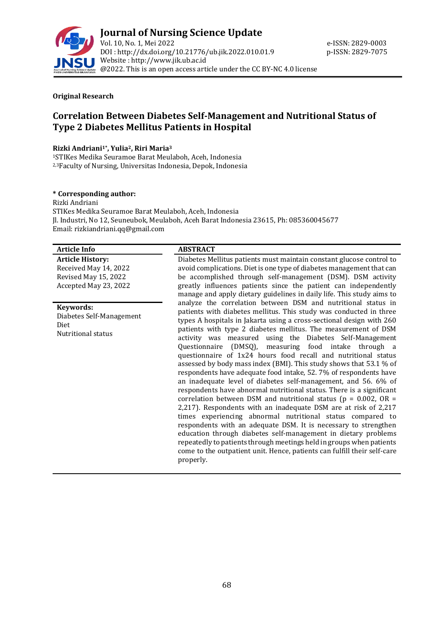

## **Original Research**

# **Correlation Between Diabetes Self-Management and Nutritional Status of Type 2 Diabetes Mellitus Patients in Hospital**

## **Rizki Andriani1\* , Yulia2, Riri Maria<sup>3</sup>**

<sup>1</sup>STIKes Medika Seuramoe Barat Meulaboh, Aceh, Indonesia 2,3Faculty of Nursing, Universitas Indonesia, Depok, Indonesia

## **\* Corresponding author:**

Rizki Andriani STIKes Medika Seuramoe Barat Meulaboh, Aceh, Indonesia Jl. Industri, No 12, Seuneubok, Meulaboh, Aceh Barat Indonesia 23615, Ph: 085360045677 Email: rizkiandriani.qq@gmail.com

## **Article Info ABSTRACT**

**Article History:** Received May 14, 2022 Revised May 15, 2022 Accepted May 23, 2022

**Keywords:**

Diabetes Self-Management Diet Nutritional status

Diabetes Mellitus patients must maintain constant glucose control to avoid complications. Diet is one type of diabetes management that can be accomplished through self-management (DSM). DSM activity greatly influences patients since the patient can independently manage and apply dietary guidelines in daily life. This study aims to analyze the correlation between DSM and nutritional status in patients with diabetes mellitus. This study was conducted in three types A hospitals in Jakarta using a cross-sectional design with 260 patients with type 2 diabetes mellitus. The measurement of DSM activity was measured using the Diabetes Self-Management Questionnaire (DMSQ), measuring food intake through a questionnaire of 1x24 hours food recall and nutritional status assessed by body mass index (BMI). This study shows that 53.1 % of respondents have adequate food intake, 52. 7% of respondents have an inadequate level of diabetes self-management, and 56. 6% of respondents have abnormal nutritional status. There is a significant correlation between DSM and nutritional status ( $p = 0.002$ , OR = 2,217). Respondents with an inadequate DSM are at risk of 2,217 times experiencing abnormal nutritional status compared to respondents with an adequate DSM. It is necessary to strengthen education through diabetes self-management in dietary problems repeatedly to patients through meetings held in groups when patients come to the outpatient unit. Hence, patients can fulfill their self-care properly.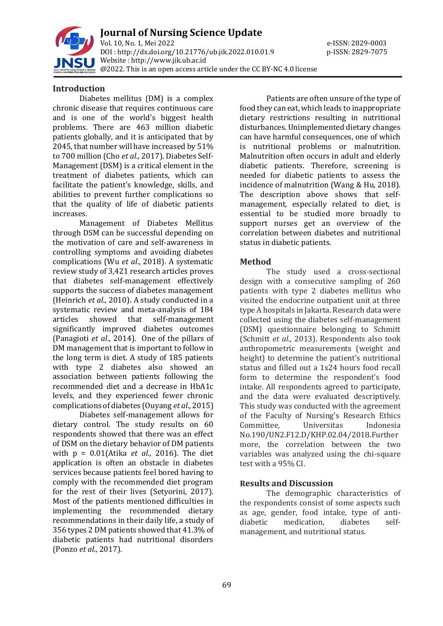

**Journal of Nursing Science Update** Vol. 10, No. 1, Mei 2022 e-ISSN: 2829-0003 DOI : [http://dx.doi.org/10.21776/ub.jik.2022.010.01.9](http://dx.doi.org/10.21776/ub.jik.2022.010.01) p-ISSN: 2829-7075 Website : http:/[/www.jik.ub.ac.id](http://www.jik.ub.ac.id/) @2022. This is an open access article under the CC BY-NC 4.0 license

## **Introduction**

Diabetes mellitus (DM) is a complex chronic disease that requires continuous care and is one of the world's biggest health problems. There are 463 million diabetic patients globally, and it is anticipated that by 2045, that number will have increased by 51% to 700 million (Cho *et al*., 2017). Diabetes Self-Management (DSM) is a critical element in the treatment of diabetes patients, which can facilitate the patient's knowledge, skills, and abilities to prevent further complications so that the quality of life of diabetic patients increases.

Management of Diabetes Mellitus through DSM can be successful depending on the motivation of care and self-awareness in controlling symptoms and avoiding diabetes complications (Wu *et al*., 2018). A systematic review study of 3,421 research articles proves that diabetes self-management effectively supports the success of diabetes management (Heinrich *et al*., 2010). A study conducted in a systematic review and meta-analysis of 184 articles showed that self-management significantly improved diabetes outcomes (Panagioti *et al*., 2014). One of the pillars of DM management that is important to follow in the long term is diet. A study of 185 patients with type 2 diabetes also showed an association between patients following the recommended diet and a decrease in HbA1c levels, and they experienced fewer chronic complications of diabetes (Ouyang *et al*., 2015)

Diabetes self-management allows for dietary control. The study results on 60 respondents showed that there was an effect of DSM on the dietary behavior of DM patients with p = 0.01(Atika *et al*., 2016). The diet application is often an obstacle in diabetes services because patients feel bored having to comply with the recommended diet program for the rest of their lives (Setyorini, 2017). Most of the patients mentioned difficulties in implementing the recommended dietary recommendations in their daily life, a study of 356 types 2 DM patients showed that 41.3% of diabetic patients had nutritional disorders (Ponzo *et al*., 2017).

Patients are often unsure of the type of food they can eat, which leads to inappropriate dietary restrictions resulting in nutritional disturbances. Unimplemented dietary changes can have harmful consequences, one of which is nutritional problems or malnutrition. Malnutrition often occurs in adult and elderly diabetic patients. Therefore, screening is needed for diabetic patients to assess the incidence of malnutrition (Wang & Hu, 2018). The description above shows that selfmanagement, especially related to diet, is essential to be studied more broadly to support nurses get an overview of the correlation between diabetes and nutritional status in diabetic patients.

## **Method**

The study used a cross-sectional design with a consecutive sampling of 260 patients with type 2 diabetes mellitus who visited the endocrine outpatient unit at three type A hospitals in Jakarta. Research data were collected using the diabetes self-management (DSM) questionnaire belonging to Schmitt (Schmitt *et al*., 2013). Respondents also took anthropometric measurements (weight and height) to determine the patient's nutritional status and filled out a 1x24 hours food recall form to determine the respondent's food intake. All respondents agreed to participate, and the data were evaluated descriptively. This study was conducted with the agreement of the Faculty of Nursing's Research Ethics Committee, Universitas Indonesia No.190/UN2.F12.D/KHP.02.04/2018.Further more, the correlation between the two variables was analyzed using the chi-square test with a 95% CI.

## **Results and Discussion**

The demographic characteristics of the respondents consist of some aspects such as age, gender, food intake, type of antidiabetic medication, diabetes selfmanagement, and nutritional status.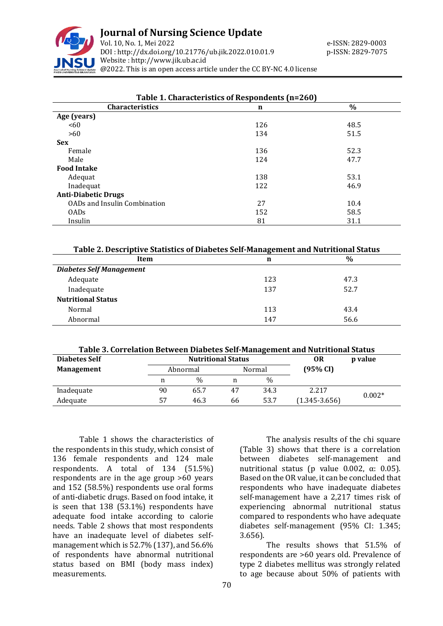

# **Journal of Nursing Science Update**

Vol. 10, No. 1, Mei 2022 e-ISSN: 2829-0003 DOI : [http://dx.doi.org/10.21776/ub.jik.2022.010.01.9](http://dx.doi.org/10.21776/ub.jik.2022.010.01) p-ISSN: 2829-7075 Website : http:/[/www.jik.ub.ac.id](http://www.jik.ub.ac.id/) @2022. This is an open access article under the CC BY-NC 4.0 license

| Table 1. Characteristics of Respondents (n=260) |     |      |  |
|-------------------------------------------------|-----|------|--|
| <b>Characteristics</b>                          | n   | $\%$ |  |
| Age (years)                                     |     |      |  |
| < 60                                            | 126 | 48.5 |  |
| >60                                             | 134 | 51.5 |  |
| <b>Sex</b>                                      |     |      |  |
| Female                                          | 136 | 52.3 |  |
| Male                                            | 124 | 47.7 |  |
| <b>Food Intake</b>                              |     |      |  |
| Adequat                                         | 138 | 53.1 |  |
| Inadequat                                       | 122 | 46.9 |  |
| <b>Anti-Diabetic Drugs</b>                      |     |      |  |
| OADs and Insulin Combination                    | 27  | 10.4 |  |
| 0AD <sub>s</sub>                                | 152 | 58.5 |  |
| Insulin                                         | 81  | 31.1 |  |

|  | Table 2. Descriptive Statistics of Diabetes Self-Management and Nutritional Status |  |
|--|------------------------------------------------------------------------------------|--|
|  |                                                                                    |  |

| Item                            | n   | $\frac{0}{0}$ |  |  |  |
|---------------------------------|-----|---------------|--|--|--|
| <b>Diabetes Self Management</b> |     |               |  |  |  |
| Adequate                        | 123 | 47.3          |  |  |  |
| Inadequate                      | 137 | 52.7          |  |  |  |
| <b>Nutritional Status</b>       |     |               |  |  |  |
| Normal                          | 113 | 43.4          |  |  |  |
| Abnormal                        | 147 | 56.6          |  |  |  |

#### **Table 3. Correlation Between Diabetes Self-Management and Nutritional Status**

| <b>Diabetes Self</b> | <b>Nutritional Status</b> |               |          |      | 0R                | p value  |  |
|----------------------|---------------------------|---------------|----------|------|-------------------|----------|--|
| <b>Management</b>    | Abnormal<br>Normal        |               | (95% CI) |      |                   |          |  |
|                      |                           | $\frac{0}{0}$ |          | $\%$ |                   |          |  |
| Inadequate           | 90                        | 65.7          | 47       | 34.3 | 2.217             | $0.002*$ |  |
| Adequate             | 57                        | 46.3          | 66       | 53.7 | $(1.345 - 3.656)$ |          |  |

Table 1 shows the characteristics of the respondents in this study, which consist of 136 female respondents and 124 male respondents. A total of 134 (51.5%) respondents are in the age group >60 years and 152 (58.5%) respondents use oral forms of anti-diabetic drugs. Based on food intake, it is seen that 138 (53.1%) respondents have adequate food intake according to calorie needs. Table 2 shows that most respondents have an inadequate level of diabetes selfmanagement which is 52.7% (137), and 56.6% of respondents have abnormal nutritional status based on BMI (body mass index) measurements.

70

The analysis results of the chi square (Table 3) shows that there is a correlation between diabetes self-management and nutritional status (p value 0.002, α: 0.05). Based on the OR value, it can be concluded that respondents who have inadequate diabetes self-management have a 2,217 times risk of experiencing abnormal nutritional status compared to respondents who have adequate diabetes self-management (95% CI: 1.345; 3.656).

The results shows that 51.5% of respondents are >60 years old. Prevalence of type 2 diabetes mellitus was strongly related to age because about 50% of patients with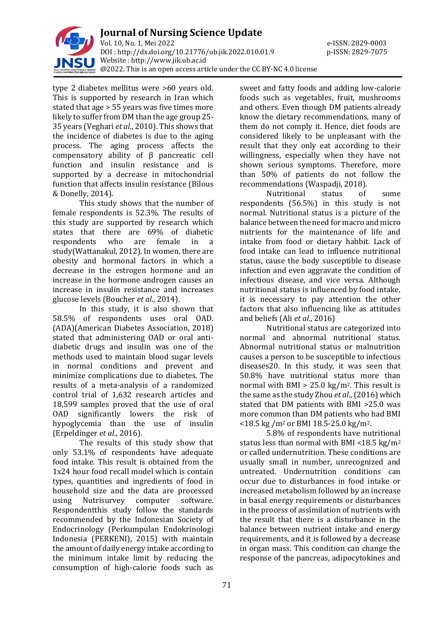

type 2 diabetes mellitus were >60 years old. This is supported by research in Iran which stated that age > 55 years was five times more likely to suffer from DM than the age group 25- 35 years (Veghari *et al*., 2010). This shows that the incidence of diabetes is due to the aging process. The aging process affects the compensatory ability of β pancreatic cell function and insulin resistance and is supported by a decrease in mitochondrial function that affects insulin resistance (Bilous & Donelly, 2014).

This study shows that the number of female respondents is 52.3%. The results of this study are supported by research which states that there are 69% of diabetic respondents who are female in a study(Wattanakul, 2012). In women, there are obesity and hormonal factors in which a decrease in the estrogen hormone and an increase in the hormone androgen causes an increase in insulin resistance and increases glucose levels (Boucher *et al*., 2014).

In this study, it is also shown that 58.5% of respondents uses oral OAD. (ADA)(American Diabetes Association, 2018) stated that administering OAD or oral antidiabetic drugs and insulin was one of the methods used to maintain blood sugar levels in normal conditions and prevent and minimize complications due to diabetes. The results of a meta-analysis of a randomized control trial of 1,632 research articles and 18,599 samples proved that the use of oral OAD significantly lowers the risk of hypoglycemia than the use of insulin (Erpeldinger *et al*., 2016).

The results of this study show that only 53.1% of respondents have adequate food intake. This result is obtained from the 1x24 hour food recall model which is contain types, quantities and ingredients of food in household size and the data are processed using Nutrisurvey computer software. Respondentthis study follow the standards recommended by the Indonesian Society of Endocrinology (Perkumpulan Endokrinologi Indonesia (PERKENI), 2015) with maintain the amount of daily energy intake according to the minimum intake limit by reducing the consumption of high-calorie foods such as

sweet and fatty foods and adding low-calorie foods such as vegetables, fruit, mushrooms and others. Even though DM patients already know the dietary recommendations, many of them do not comply it. Hence, diet foods are considered likely to be unpleasant with the result that they only eat according to their willingness, especially when they have not shown serious symptoms. Therefore, more than 50% of patients do not follow the recommendations (Waspadji, 2018).

Nutritional status of some respondents (56.5%) in this study is not normal. Nutritional status is a picture of the balance between the need for macro and micro nutrients for the maintenance of life and intake from food or dietary habbit. Lack of food intake can lead to influence nutritional status, cause the body susceptible to disease infection and even aggravate the condition of infectious disease, and vice versa. Although nutritional status is influenced by food intake, it is necessary to pay attention the other factors that also influencing like as attitudes and beliefs (Ali *et al*., 2016)

Nutritional status are categorized into normal and abnormal nutritional status. Abnormal nutritional status or malnutrition causes a person to be susceptible to infectious diseases20. In this study, it was seen that 50.8% have nutritional status more than normal with BMI  $> 25.0 \text{ kg/m}^2$ . This result is the same as the study Zhou *et al*., (2016) which stated that DM patients with BMI >25.0 was more common than DM patients who had BMI  $<$ 18.5 kg /m<sup>2</sup> or BMI 18.5-25.0 kg/m<sup>2</sup>.

5.8% of respondents have nutritional status less than normal with BMI <18.5 kg/m<sup>2</sup> or called undernutrition. These conditions are usually small in number, unrecognized and untreated. Undernutrition conditions can occur due to disturbances in food intake or increased metabolism followed by an increase in basal energy requirements or disturbances in the process of assimilation of nutrients with the result that there is a disturbance in the balance between nutrient intake and energy requirements, and it is followed by a decrease in organ mass. This condition can change the response of the pancreas, adipocytokines and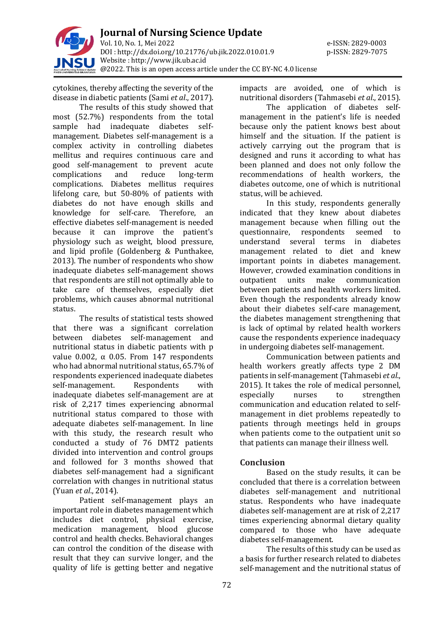

cytokines, thereby affecting the severity of the disease in diabetic patients (Sami *et al*., 2017).

The results of this study showed that most (52.7%) respondents from the total sample had inadequate diabetes selfmanagement. Diabetes self-management is a complex activity in controlling diabetes mellitus and requires continuous care and good self-management to prevent acute complications and reduce long-term complications. Diabetes mellitus requires lifelong care, but 50-80% of patients with diabetes do not have enough skills and knowledge for self-care. Therefore, an effective diabetes self-management is needed because it can improve the patient's physiology such as weight, blood pressure, and lipid profile (Goldenberg & Punthakee, 2013). The number of respondents who show inadequate diabetes self-management shows that respondents are still not optimally able to take care of themselves, especially diet problems, which causes abnormal nutritional status.

The results of statistical tests showed that there was a significant correlation between diabetes self-management and nutritional status in diabetic patients with p value 0.002,  $\alpha$  0.05. From 147 respondents who had abnormal nutritional status, 65.7% of respondents experienced inadequate diabetes self-management. Respondents with inadequate diabetes self-management are at risk of 2,217 times experiencing abnormal nutritional status compared to those with adequate diabetes self-management. In line with this study, the research result who conducted a study of 76 DMT2 patients divided into intervention and control groups and followed for 3 months showed that diabetes self-management had a significant correlation with changes in nutritional status (Yuan *et al*., 2014).

Patient self-management plays an important role in diabetes management which includes diet control, physical exercise, medication management, blood glucose control and health checks. Behavioral changes can control the condition of the disease with result that they can survive longer, and the quality of life is getting better and negative

impacts are avoided, one of which is nutritional disorders (Tahmasebi *et al*., 2015).

The application of diabetes selfmanagement in the patient's life is needed because only the patient knows best about himself and the situation. If the patient is actively carrying out the program that is designed and runs it according to what has been planned and does not only follow the recommendations of health workers, the diabetes outcome, one of which is nutritional status, will be achieved.

In this study, respondents generally indicated that they knew about diabetes management because when filling out the questionnaire, respondents seemed to understand several terms in diabetes management related to diet and knew important points in diabetes management. However, crowded examination conditions in outpatient units make communication between patients and health workers limited. Even though the respondents already know about their diabetes self-care management, the diabetes management strengthening that is lack of optimal by related health workers cause the respondents experience inadequacy in undergoing diabetes self-management.

Communication between patients and health workers greatly affects type 2 DM patients in self-management (Tahmasebi *et al*., 2015). It takes the role of medical personnel, especially nurses to strengthen communication and education related to selfmanagement in diet problems repeatedly to patients through meetings held in groups when patients come to the outpatient unit so that patients can manage their illness well.

# **Conclusion**

Based on the study results, it can be concluded that there is a correlation between diabetes self-management and nutritional status. Respondents who have inadequate diabetes self-management are at risk of 2,217 times experiencing abnormal dietary quality compared to those who have adequate diabetes self-management.

The results of this study can be used as a basis for further research related to diabetes self-management and the nutritional status of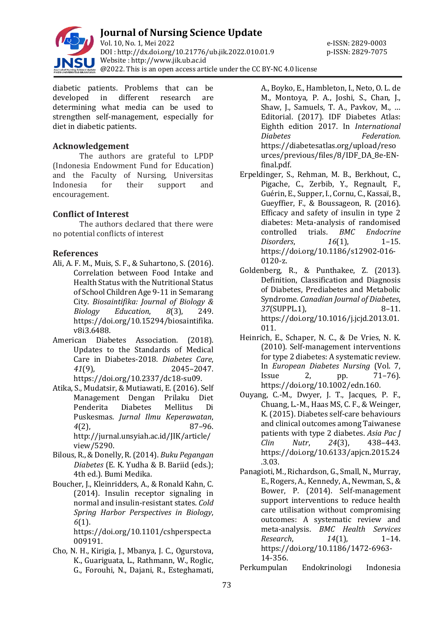

**Journal of Nursing Science Update** Vol. 10, No. 1, Mei 2022 e-ISSN: 2829-0003 DOI : [http://dx.doi.org/10.21776/ub.jik.2022.010.01.9](http://dx.doi.org/10.21776/ub.jik.2022.010.01) p-ISSN: 2829-7075 Website : http:/[/www.jik.ub.ac.id](http://www.jik.ub.ac.id/) @2022. This is an open access article under the CC BY-NC 4.0 license

diabetic patients. Problems that can be developed in different research are determining what media can be used to strengthen self-management, especially for diet in diabetic patients.

# **Acknowledgement**

The authors are grateful to LPDP (Indonesia Endowment Fund for Education) and the Faculty of Nursing, Universitas Indonesia for their support and encouragement.

# **Conflict of Interest**

The authors declared that there were no potential conflicts of interest

# **References**

- Ali, A. F. M., Muis, S. F., & Suhartono, S. (2016). Correlation between Food Intake and Health Status with the Nutritional Status of School Children Age 9-11 in Semarang City. *Biosaintifika: Journal of Biology & Biology Education*, *8*(3), 249. https://doi.org/10.15294/biosaintifika. v8i3.6488.
- American Diabetes Association. (2018). Updates to the Standards of Medical Care in Diabetes-2018. *Diabetes Care*, *41*(9), 2045–2047. https://doi.org/10.2337/dc18-su09.
- Atika, S., Mudatsir, & Mutiawati, E. (2016). Self Management Dengan Prilaku Diet Penderita Diabetes Mellitus Di Puskesmas. *Jurnal Ilmu Keperawatan*, *4*(2), 87–96. http://jurnal.unsyiah.ac.id/JIK/article/ view/5290.
- Bilous, R., & Donelly, R. (2014). *Buku Pegangan Diabetes* (E. K. Yudha & B. Bariid (eds.); 4th ed.). Bumi Medika.
- Boucher, J., Kleinridders, A., & Ronald Kahn, C. (2014). Insulin receptor signaling in normal and insulin-resistant states. *Cold Spring Harbor Perspectives in Biology*, *6*(1).

https://doi.org/10.1101/cshperspect.a 009191.

Cho, N. H., Kirigia, J., Mbanya, J. C., Ogurstova, K., Guariguata, L., Rathmann, W., Roglic, G., Forouhi, N., Dajani, R., Esteghamati,

A., Boyko, E., Hambleton, I., Neto, O. L. de M., Montoya, P. A., Joshi, S., Chan, J., Shaw, J., Samuels, T. A., Pavkov, M., … Editorial. (2017). IDF Diabetes Atlas: Eighth edition 2017. In *International Diabetes Federation*. https://diabetesatlas.org/upload/reso urces/previous/files/8/IDF\_DA\_8e-ENfinal.pdf.

Erpeldinger, S., Rehman, M. B., Berkhout, C., Pigache, C., Zerbib, Y., Regnault, F., Guérin, E., Supper, I., Cornu, C., Kassaï, B., Gueyffier, F., & Boussageon, R. (2016). Efficacy and safety of insulin in type 2 diabetes: Meta-analysis of randomised controlled trials. *BMC Endocrine Disorders*, *16*(1), 1–15. https://doi.org/10.1186/s12902-016- 0120-z.

- Goldenberg, R., & Punthakee, Z. (2013). Definition, Classification and Diagnosis of Diabetes, Prediabetes and Metabolic Syndrome. *Canadian Journal of Diabetes*, 37(SUPPL.1), 8-11. https://doi.org/10.1016/j.jcjd.2013.01. 011.
- Heinrich, E., Schaper, N. C., & De Vries, N. K. (2010). Self-management interventions for type 2 diabetes: A systematic review. In *European Diabetes Nursing* (Vol. 7, Issue 2, pp. 71–76). https://doi.org/10.1002/edn.160.
- Ouyang, C.-M., Dwyer, J. T., Jacques, P. F., Chuang, L.-M., Haas MS, C. F., & Weinger, K. (2015). Diabetes self-care behaviours and clinical outcomes among Taiwanese patients with type 2 diabetes. *Asia Pac J Clin Nutr*, *24*(3), 438–443. https://doi.org/10.6133/apjcn.2015.24 .3.03.
- Panagioti, M., Richardson, G., Small, N., Murray, E., Rogers, A., Kennedy, A., Newman, S., & Bower, P. (2014). Self-management support interventions to reduce health care utilisation without compromising outcomes: A systematic review and meta-analysis. *BMC Health Services Research*, *14*(1), 1–14. https://doi.org/10.1186/1472-6963- 14-356.

Perkumpulan Endokrinologi Indonesia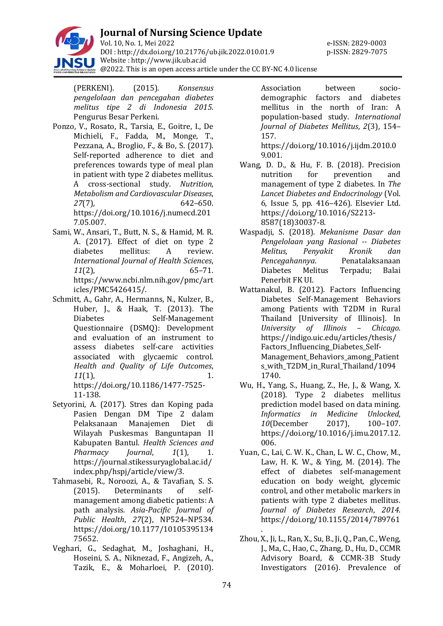

(PERKENI). (2015). *Konsensus pengelolaan dan pencegahan diabetes melitus tipe 2 di Indonesia 2015*. Pengurus Besar Perkeni.

- Ponzo, V., Rosato, R., Tarsia, E., Goitre, I., De Michieli, F., Fadda, M., Monge, T., Pezzana, A., Broglio, F., & Bo, S. (2017). Self-reported adherence to diet and preferences towards type of meal plan in patient with type 2 diabetes mellitus. A cross-sectional study. *Nutrition, Metabolism and Cardiovascular Diseases*, *27*(7), 642–650. https://doi.org/10.1016/j.numecd.201 7.05.007.
- Sami, W., Ansari, T., Butt, N. S., & Hamid, M. R. A. (2017). Effect of diet on type 2 diabetes mellitus: A review. *International Journal of Health Sciences*, *11*(2), 65–71. https://www.ncbi.nlm.nih.gov/pmc/art icles/PMC5426415/.
- Schmitt, A., Gahr, A., Hermanns, N., Kulzer, B., Huber, J., & Haak, T. (2013). The Diabetes Self-Management Questionnaire (DSMQ): Development and evaluation of an instrument to assess diabetes self-care activities associated with glycaemic control. *Health and Quality of Life Outcomes*, *11*(1), 1. https://doi.org/10.1186/1477-7525- 11-138.
- Setyorini, A. (2017). Stres dan Koping pada Pasien Dengan DM Tipe 2 dalam Pelaksanaan Manajemen Diet di Wilayah Puskesmas Banguntapan II Kabupaten Bantul. *Health Sciences and Pharmacy Journal*, *1*(1), 1. https://journal.stikessuryaglobal.ac.id/ index.php/hspj/article/view/3.
- Tahmasebi, R., Noroozi, A., & Tavafian, S. S. (2015). Determinants of selfmanagement among diabetic patients: A path analysis. *Asia-Pacific Journal of Public Health*, *27*(2), NP524–NP534. https://doi.org/10.1177/10105395134 75652.
- Veghari, G., Sedaghat, M., Joshaghani, H., Hoseini, S. A., Niknezad, F., Angizeh, A., Tazik, E., & Moharloei, P. (2010).

Association between sociodemographic factors and diabetes mellitus in the north of Iran: A population-based study. *International Journal of Diabetes Mellitus*, *2*(3), 154– 157.

https://doi.org/10.1016/j.ijdm.2010.0 9.001.

- Wang, D. D., & Hu, F. B. (2018). Precision nutrition for prevention and management of type 2 diabetes. In *The Lancet Diabetes and Endocrinology* (Vol. 6, Issue 5, pp. 416–426). Elsevier Ltd. https://doi.org/10.1016/S2213- 8587(18)30037-8.
- Waspadji, S. (2018). *Mekanisme Dasar dan Pengelolaan yang Rasional -- Diabetes Melitus, Penyakit Kronik dan Pencegahannya*. Penatalaksanaan Diabetes Melitus Terpadu; Balai Penerbit FK UI.
- Wattanakul, B. (2012). Factors Influencing Diabetes Self-Management Behaviors among Patients with T2DM in Rural Thailand [University of Illinois]. In *University of Illinois – Chicago*. https://indigo.uic.edu/articles/thesis/ Factors Influencing Diabetes Self-Management Behaviors among Patient s\_with\_T2DM\_in\_Rural\_Thailand/1094 1740.
- Wu, H., Yang, S., Huang, Z., He, J., & Wang, X. (2018). Type 2 diabetes mellitus prediction model based on data mining. *Informatics in Medicine Unlocked*, *10*(December 2017), 100–107. https://doi.org/10.1016/j.imu.2017.12. 006.
- Yuan, C., Lai, C. W. K., Chan, L. W. C., Chow, M., Law, H. K. W., & Ying, M. (2014). The effect of diabetes self-management education on body weight, glycemic control, and other metabolic markers in patients with type 2 diabetes mellitus. *Journal of Diabetes Research*, *2014*. https://doi.org/10.1155/2014/789761
- . Zhou, X., Ji, L., Ran, X., Su, B., Ji, Q., Pan, C., Weng, J., Ma, C., Hao, C., Zhang, D., Hu, D., CCMR Advisory Board, & CCMR-3B Study Investigators (2016). Prevalence of